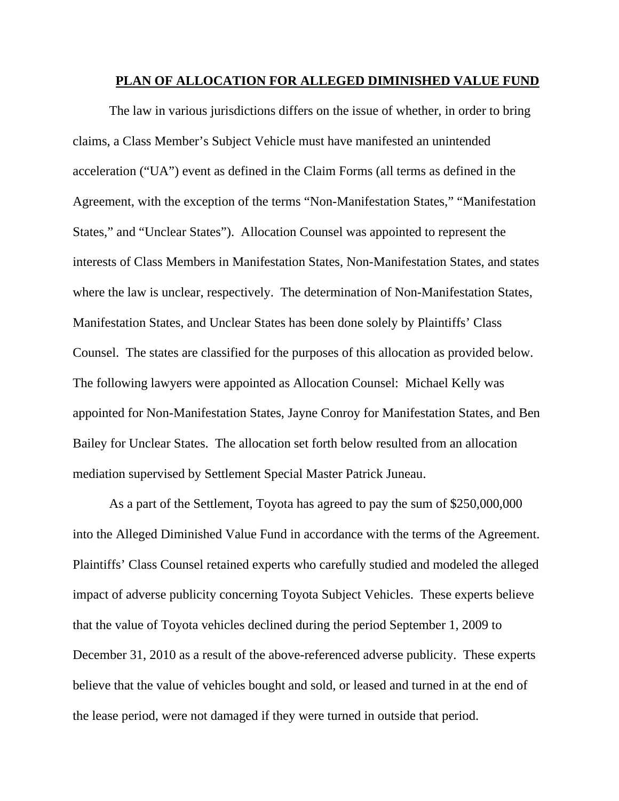#### **PLAN OF ALLOCATION FOR ALLEGED DIMINISHED VALUE FUND**

The law in various jurisdictions differs on the issue of whether, in order to bring claims, a Class Member's Subject Vehicle must have manifested an unintended acceleration ("UA") event as defined in the Claim Forms (all terms as defined in the Agreement, with the exception of the terms "Non-Manifestation States," "Manifestation States," and "Unclear States"). Allocation Counsel was appointed to represent the interests of Class Members in Manifestation States, Non-Manifestation States, and states where the law is unclear, respectively. The determination of Non-Manifestation States, Manifestation States, and Unclear States has been done solely by Plaintiffs' Class Counsel. The states are classified for the purposes of this allocation as provided below. The following lawyers were appointed as Allocation Counsel: Michael Kelly was appointed for Non-Manifestation States, Jayne Conroy for Manifestation States, and Ben Bailey for Unclear States. The allocation set forth below resulted from an allocation mediation supervised by Settlement Special Master Patrick Juneau.

As a part of the Settlement, Toyota has agreed to pay the sum of \$250,000,000 into the Alleged Diminished Value Fund in accordance with the terms of the Agreement. Plaintiffs' Class Counsel retained experts who carefully studied and modeled the alleged impact of adverse publicity concerning Toyota Subject Vehicles. These experts believe that the value of Toyota vehicles declined during the period September 1, 2009 to December 31, 2010 as a result of the above-referenced adverse publicity. These experts believe that the value of vehicles bought and sold, or leased and turned in at the end of the lease period, were not damaged if they were turned in outside that period.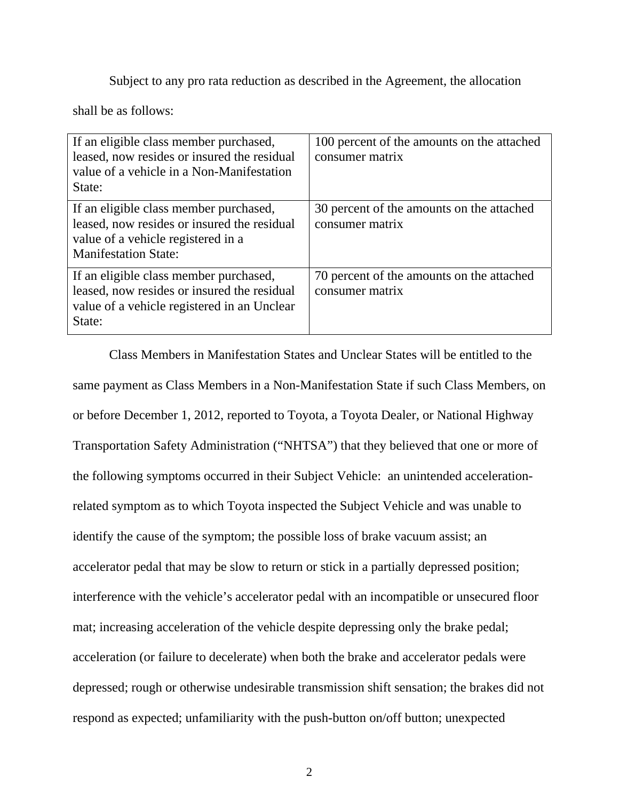Subject to any pro rata reduction as described in the Agreement, the allocation

shall be as follows:

| If an eligible class member purchased,<br>leased, now resides or insured the residual<br>value of a vehicle in a Non-Manifestation<br>State:               | 100 percent of the amounts on the attached<br>consumer matrix |
|------------------------------------------------------------------------------------------------------------------------------------------------------------|---------------------------------------------------------------|
| If an eligible class member purchased,<br>leased, now resides or insured the residual<br>value of a vehicle registered in a<br><b>Manifestation State:</b> | 30 percent of the amounts on the attached<br>consumer matrix  |
| If an eligible class member purchased,<br>leased, now resides or insured the residual<br>value of a vehicle registered in an Unclear<br>State:             | 70 percent of the amounts on the attached<br>consumer matrix  |

Class Members in Manifestation States and Unclear States will be entitled to the same payment as Class Members in a Non-Manifestation State if such Class Members, on or before December 1, 2012, reported to Toyota, a Toyota Dealer, or National Highway Transportation Safety Administration ("NHTSA") that they believed that one or more of the following symptoms occurred in their Subject Vehicle: an unintended accelerationrelated symptom as to which Toyota inspected the Subject Vehicle and was unable to identify the cause of the symptom; the possible loss of brake vacuum assist; an accelerator pedal that may be slow to return or stick in a partially depressed position; interference with the vehicle's accelerator pedal with an incompatible or unsecured floor mat; increasing acceleration of the vehicle despite depressing only the brake pedal; acceleration (or failure to decelerate) when both the brake and accelerator pedals were depressed; rough or otherwise undesirable transmission shift sensation; the brakes did not respond as expected; unfamiliarity with the push-button on/off button; unexpected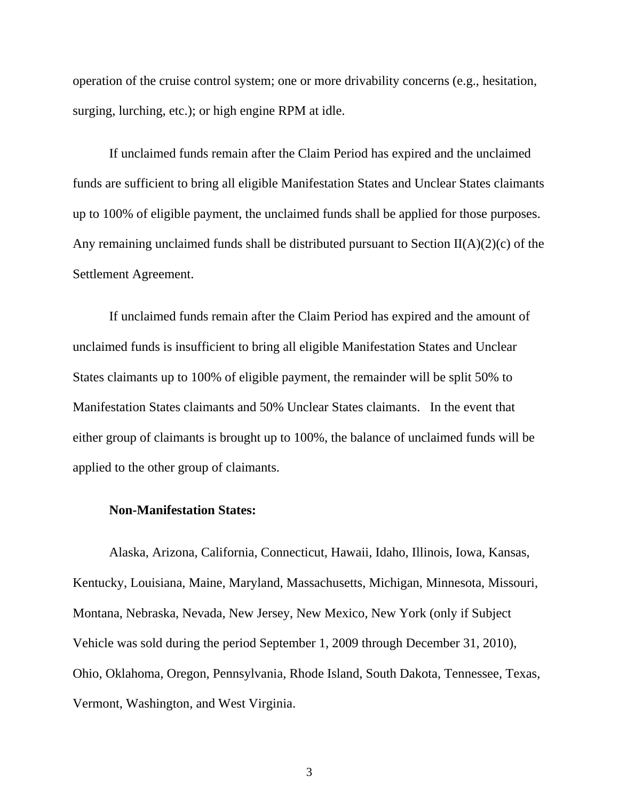operation of the cruise control system; one or more drivability concerns (e.g., hesitation, surging, lurching, etc.); or high engine RPM at idle.

If unclaimed funds remain after the Claim Period has expired and the unclaimed funds are sufficient to bring all eligible Manifestation States and Unclear States claimants up to 100% of eligible payment, the unclaimed funds shall be applied for those purposes. Any remaining unclaimed funds shall be distributed pursuant to Section  $II(A)(2)(c)$  of the Settlement Agreement.

If unclaimed funds remain after the Claim Period has expired and the amount of unclaimed funds is insufficient to bring all eligible Manifestation States and Unclear States claimants up to 100% of eligible payment, the remainder will be split 50% to Manifestation States claimants and 50% Unclear States claimants. In the event that either group of claimants is brought up to 100%, the balance of unclaimed funds will be applied to the other group of claimants.

### **Non-Manifestation States:**

Alaska, Arizona, California, Connecticut, Hawaii, Idaho, Illinois, Iowa, Kansas, Kentucky, Louisiana, Maine, Maryland, Massachusetts, Michigan, Minnesota, Missouri, Montana, Nebraska, Nevada, New Jersey, New Mexico, New York (only if Subject Vehicle was sold during the period September 1, 2009 through December 31, 2010), Ohio, Oklahoma, Oregon, Pennsylvania, Rhode Island, South Dakota, Tennessee, Texas, Vermont, Washington, and West Virginia.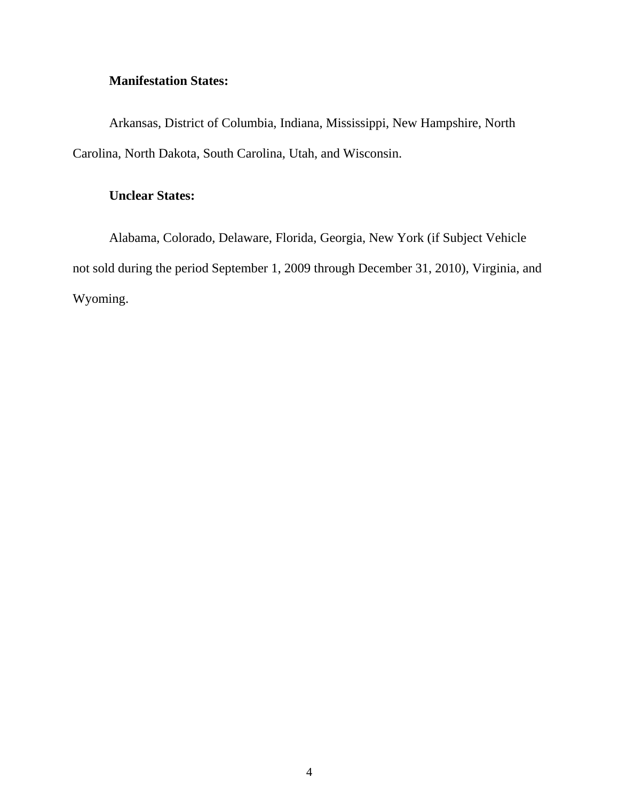# **Manifestation States:**

Arkansas, District of Columbia, Indiana, Mississippi, New Hampshire, North Carolina, North Dakota, South Carolina, Utah, and Wisconsin.

# **Unclear States:**

Alabama, Colorado, Delaware, Florida, Georgia, New York (if Subject Vehicle not sold during the period September 1, 2009 through December 31, 2010), Virginia, and Wyoming.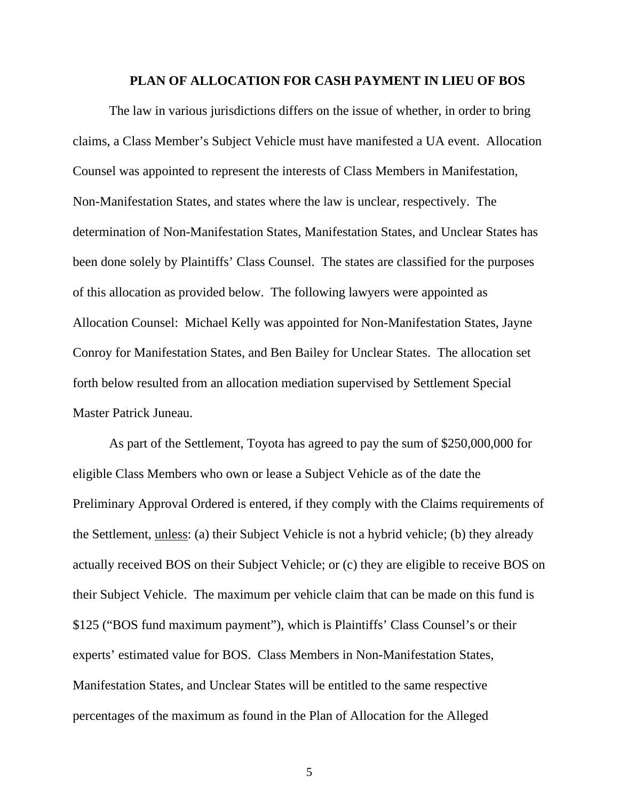#### **PLAN OF ALLOCATION FOR CASH PAYMENT IN LIEU OF BOS**

The law in various jurisdictions differs on the issue of whether, in order to bring claims, a Class Member's Subject Vehicle must have manifested a UA event. Allocation Counsel was appointed to represent the interests of Class Members in Manifestation, Non-Manifestation States, and states where the law is unclear, respectively. The determination of Non-Manifestation States, Manifestation States, and Unclear States has been done solely by Plaintiffs' Class Counsel. The states are classified for the purposes of this allocation as provided below. The following lawyers were appointed as Allocation Counsel: Michael Kelly was appointed for Non-Manifestation States, Jayne Conroy for Manifestation States, and Ben Bailey for Unclear States. The allocation set forth below resulted from an allocation mediation supervised by Settlement Special Master Patrick Juneau.

As part of the Settlement, Toyota has agreed to pay the sum of \$250,000,000 for eligible Class Members who own or lease a Subject Vehicle as of the date the Preliminary Approval Ordered is entered, if they comply with the Claims requirements of the Settlement, unless: (a) their Subject Vehicle is not a hybrid vehicle; (b) they already actually received BOS on their Subject Vehicle; or (c) they are eligible to receive BOS on their Subject Vehicle. The maximum per vehicle claim that can be made on this fund is \$125 ("BOS fund maximum payment"), which is Plaintiffs' Class Counsel's or their experts' estimated value for BOS. Class Members in Non-Manifestation States, Manifestation States, and Unclear States will be entitled to the same respective percentages of the maximum as found in the Plan of Allocation for the Alleged

5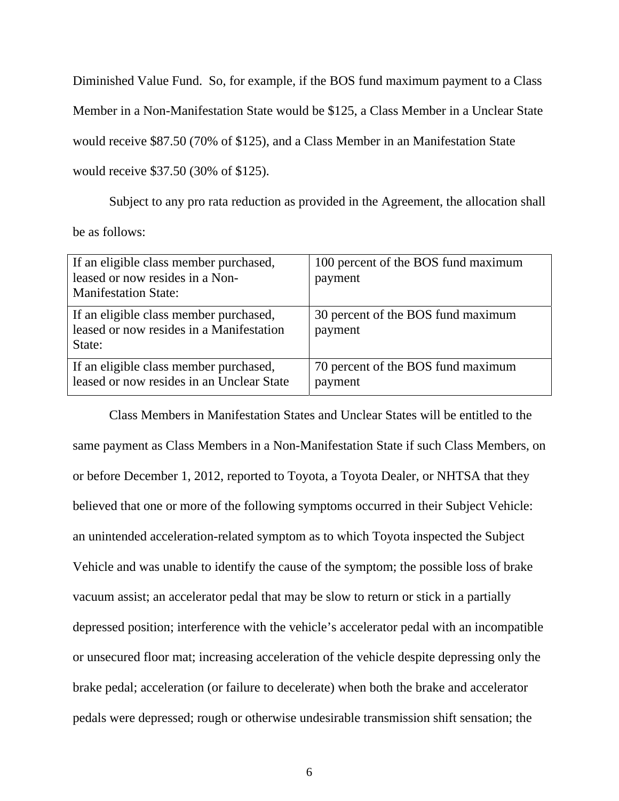Diminished Value Fund. So, for example, if the BOS fund maximum payment to a Class

Member in a Non-Manifestation State would be \$125, a Class Member in a Unclear State

would receive \$87.50 (70% of \$125), and a Class Member in an Manifestation State

would receive \$37.50 (30% of \$125).

Subject to any pro rata reduction as provided in the Agreement, the allocation shall be as follows:

| If an eligible class member purchased,<br>leased or now resides in a Non-<br><b>Manifestation State:</b> | 100 percent of the BOS fund maximum<br>payment |
|----------------------------------------------------------------------------------------------------------|------------------------------------------------|
| If an eligible class member purchased,<br>leased or now resides in a Manifestation<br>State:             | 30 percent of the BOS fund maximum<br>payment  |
| If an eligible class member purchased,<br>leased or now resides in an Unclear State                      | 70 percent of the BOS fund maximum<br>payment  |

Class Members in Manifestation States and Unclear States will be entitled to the same payment as Class Members in a Non-Manifestation State if such Class Members, on or before December 1, 2012, reported to Toyota, a Toyota Dealer, or NHTSA that they believed that one or more of the following symptoms occurred in their Subject Vehicle: an unintended acceleration-related symptom as to which Toyota inspected the Subject Vehicle and was unable to identify the cause of the symptom; the possible loss of brake vacuum assist; an accelerator pedal that may be slow to return or stick in a partially depressed position; interference with the vehicle's accelerator pedal with an incompatible or unsecured floor mat; increasing acceleration of the vehicle despite depressing only the brake pedal; acceleration (or failure to decelerate) when both the brake and accelerator pedals were depressed; rough or otherwise undesirable transmission shift sensation; the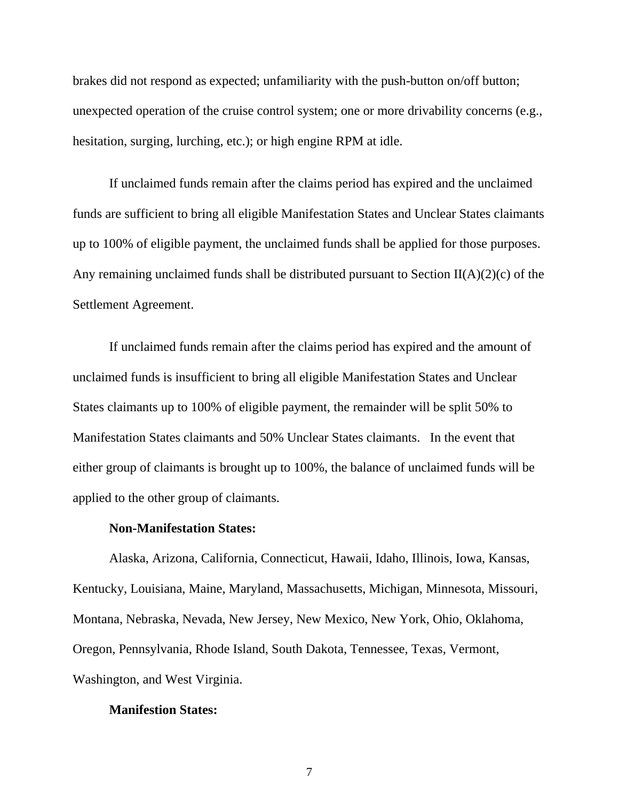brakes did not respond as expected; unfamiliarity with the push-button on/off button; unexpected operation of the cruise control system; one or more drivability concerns (e.g., hesitation, surging, lurching, etc.); or high engine RPM at idle.

If unclaimed funds remain after the claims period has expired and the unclaimed funds are sufficient to bring all eligible Manifestation States and Unclear States claimants up to 100% of eligible payment, the unclaimed funds shall be applied for those purposes. Any remaining unclaimed funds shall be distributed pursuant to Section  $II(A)(2)(c)$  of the Settlement Agreement.

If unclaimed funds remain after the claims period has expired and the amount of unclaimed funds is insufficient to bring all eligible Manifestation States and Unclear States claimants up to 100% of eligible payment, the remainder will be split 50% to Manifestation States claimants and 50% Unclear States claimants. In the event that either group of claimants is brought up to 100%, the balance of unclaimed funds will be applied to the other group of claimants.

### **Non-Manifestation States:**

Alaska, Arizona, California, Connecticut, Hawaii, Idaho, Illinois, Iowa, Kansas, Kentucky, Louisiana, Maine, Maryland, Massachusetts, Michigan, Minnesota, Missouri, Montana, Nebraska, Nevada, New Jersey, New Mexico, New York, Ohio, Oklahoma, Oregon, Pennsylvania, Rhode Island, South Dakota, Tennessee, Texas, Vermont, Washington, and West Virginia.

## **Manifestion States:**

7